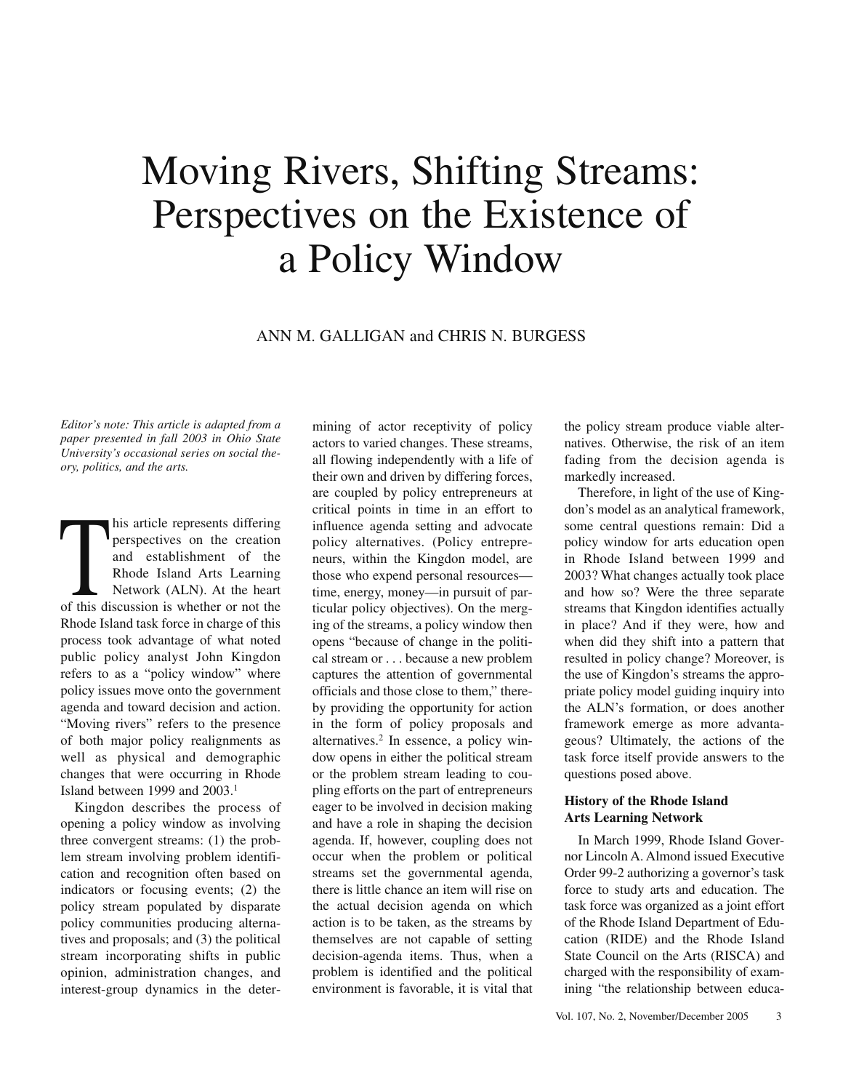# Moving Rivers, Shifting Streams: Perspectives on the Existence of a Policy Window

## ANN M. GALLIGAN and CHRIS N. BURGESS

*Editor's note: This article is adapted from a paper presented in fall 2003 in Ohio State University's occasional series on social theory, politics, and the arts.*

his article represents differing perspectives on the creation and establishment of the Rhode Island Arts Learning Network (ALN). At the heart I perspectives on the creation<br>and establishment of the<br>Rhode Island Arts Learning<br>Network (ALN). At the heart<br>of this discussion is whether or not the Rhode Island task force in charge of this process took advantage of what noted public policy analyst John Kingdon refers to as a "policy window" where policy issues move onto the government agenda and toward decision and action. "Moving rivers" refers to the presence of both major policy realignments as well as physical and demographic changes that were occurring in Rhode Island between 1999 and  $2003.<sup>1</sup>$ 

Kingdon describes the process of opening a policy window as involving three convergent streams: (1) the problem stream involving problem identification and recognition often based on indicators or focusing events; (2) the policy stream populated by disparate policy communities producing alternatives and proposals; and (3) the political stream incorporating shifts in public opinion, administration changes, and interest-group dynamics in the determining of actor receptivity of policy actors to varied changes. These streams, all flowing independently with a life of their own and driven by differing forces, are coupled by policy entrepreneurs at critical points in time in an effort to influence agenda setting and advocate policy alternatives. (Policy entrepreneurs, within the Kingdon model, are those who expend personal resources time, energy, money—in pursuit of particular policy objectives). On the merging of the streams, a policy window then opens "because of change in the political stream or . . . because a new problem captures the attention of governmental officials and those close to them," thereby providing the opportunity for action in the form of policy proposals and alternatives.2 In essence, a policy window opens in either the political stream or the problem stream leading to coupling efforts on the part of entrepreneurs eager to be involved in decision making and have a role in shaping the decision agenda. If, however, coupling does not occur when the problem or political streams set the governmental agenda, there is little chance an item will rise on the actual decision agenda on which action is to be taken, as the streams by themselves are not capable of setting decision-agenda items. Thus, when a problem is identified and the political environment is favorable, it is vital that

the policy stream produce viable alternatives. Otherwise, the risk of an item fading from the decision agenda is markedly increased.

Therefore, in light of the use of Kingdon's model as an analytical framework, some central questions remain: Did a policy window for arts education open in Rhode Island between 1999 and 2003? What changes actually took place and how so? Were the three separate streams that Kingdon identifies actually in place? And if they were, how and when did they shift into a pattern that resulted in policy change? Moreover, is the use of Kingdon's streams the appropriate policy model guiding inquiry into the ALN's formation, or does another framework emerge as more advantageous? Ultimately, the actions of the task force itself provide answers to the questions posed above.

#### **History of the Rhode Island Arts Learning Network**

In March 1999, Rhode Island Governor Lincoln A. Almond issued Executive Order 99-2 authorizing a governor's task force to study arts and education. The task force was organized as a joint effort of the Rhode Island Department of Education (RIDE) and the Rhode Island State Council on the Arts (RISCA) and charged with the responsibility of examining "the relationship between educa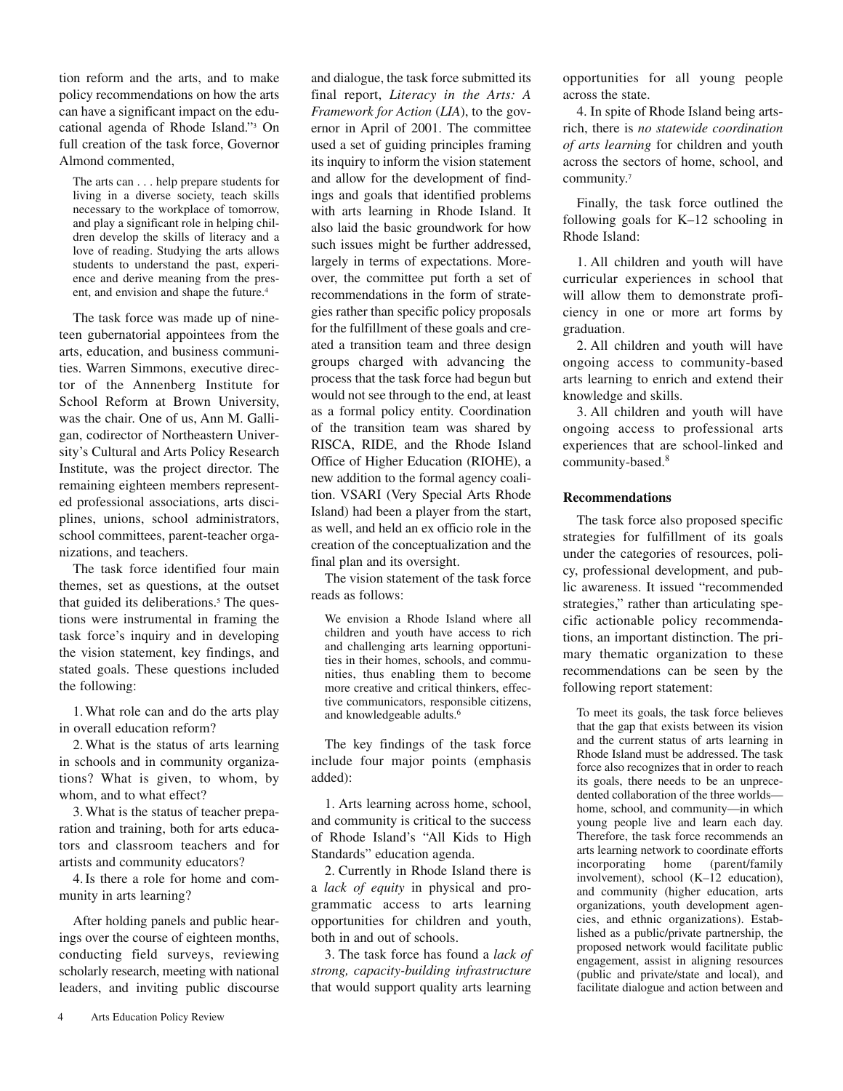tion reform and the arts, and to make policy recommendations on how the arts can have a significant impact on the educational agenda of Rhode Island."3 On full creation of the task force, Governor Almond commented,

The arts can . . . help prepare students for living in a diverse society, teach skills necessary to the workplace of tomorrow, and play a significant role in helping children develop the skills of literacy and a love of reading. Studying the arts allows students to understand the past, experience and derive meaning from the present, and envision and shape the future.4

The task force was made up of nineteen gubernatorial appointees from the arts, education, and business communities. Warren Simmons, executive director of the Annenberg Institute for School Reform at Brown University, was the chair. One of us, Ann M. Galligan, codirector of Northeastern University's Cultural and Arts Policy Research Institute, was the project director. The remaining eighteen members represented professional associations, arts disciplines, unions, school administrators, school committees, parent-teacher organizations, and teachers.

The task force identified four main themes, set as questions, at the outset that guided its deliberations.<sup>5</sup> The questions were instrumental in framing the task force's inquiry and in developing the vision statement, key findings, and stated goals. These questions included the following:

1. What role can and do the arts play in overall education reform?

2. What is the status of arts learning in schools and in community organizations? What is given, to whom, by whom, and to what effect?

3. What is the status of teacher preparation and training, both for arts educators and classroom teachers and for artists and community educators?

4. Is there a role for home and community in arts learning?

After holding panels and public hearings over the course of eighteen months, conducting field surveys, reviewing scholarly research, meeting with national leaders, and inviting public discourse

and dialogue, the task force submitted its final report, *Literacy in the Arts: A Framework for Action* (*LIA*), to the governor in April of 2001. The committee used a set of guiding principles framing its inquiry to inform the vision statement and allow for the development of findings and goals that identified problems with arts learning in Rhode Island. It also laid the basic groundwork for how such issues might be further addressed, largely in terms of expectations. Moreover, the committee put forth a set of recommendations in the form of strategies rather than specific policy proposals for the fulfillment of these goals and created a transition team and three design groups charged with advancing the process that the task force had begun but would not see through to the end, at least as a formal policy entity. Coordination of the transition team was shared by RISCA, RIDE, and the Rhode Island Office of Higher Education (RIOHE), a new addition to the formal agency coalition. VSARI (Very Special Arts Rhode Island) had been a player from the start, as well, and held an ex officio role in the creation of the conceptualization and the final plan and its oversight.

The vision statement of the task force reads as follows:

We envision a Rhode Island where all children and youth have access to rich and challenging arts learning opportunities in their homes, schools, and communities, thus enabling them to become more creative and critical thinkers, effective communicators, responsible citizens, and knowledgeable adults.<sup>6</sup>

The key findings of the task force include four major points (emphasis added):

1. Arts learning across home, school, and community is critical to the success of Rhode Island's "All Kids to High Standards" education agenda.

2. Currently in Rhode Island there is a *lack of equity* in physical and programmatic access to arts learning opportunities for children and youth, both in and out of schools.

3. The task force has found a *lack of strong, capacity-building infrastructure* that would support quality arts learning

opportunities for all young people across the state.

4. In spite of Rhode Island being artsrich, there is *no statewide coordination of arts learning* for children and youth across the sectors of home, school, and community.7

Finally, the task force outlined the following goals for K–12 schooling in Rhode Island:

1. All children and youth will have curricular experiences in school that will allow them to demonstrate proficiency in one or more art forms by graduation.

2. All children and youth will have ongoing access to community-based arts learning to enrich and extend their knowledge and skills.

3. All children and youth will have ongoing access to professional arts experiences that are school-linked and community-based.8

#### **Recommendations**

The task force also proposed specific strategies for fulfillment of its goals under the categories of resources, policy, professional development, and public awareness. It issued "recommended strategies," rather than articulating specific actionable policy recommendations, an important distinction. The primary thematic organization to these recommendations can be seen by the following report statement:

To meet its goals, the task force believes that the gap that exists between its vision and the current status of arts learning in Rhode Island must be addressed. The task force also recognizes that in order to reach its goals, there needs to be an unprecedented collaboration of the three worlds home, school, and community—in which young people live and learn each day. Therefore, the task force recommends an arts learning network to coordinate efforts incorporating home (parent/family involvement), school (K–12 education), and community (higher education, arts organizations, youth development agencies, and ethnic organizations). Established as a public/private partnership, the proposed network would facilitate public engagement, assist in aligning resources (public and private/state and local), and facilitate dialogue and action between and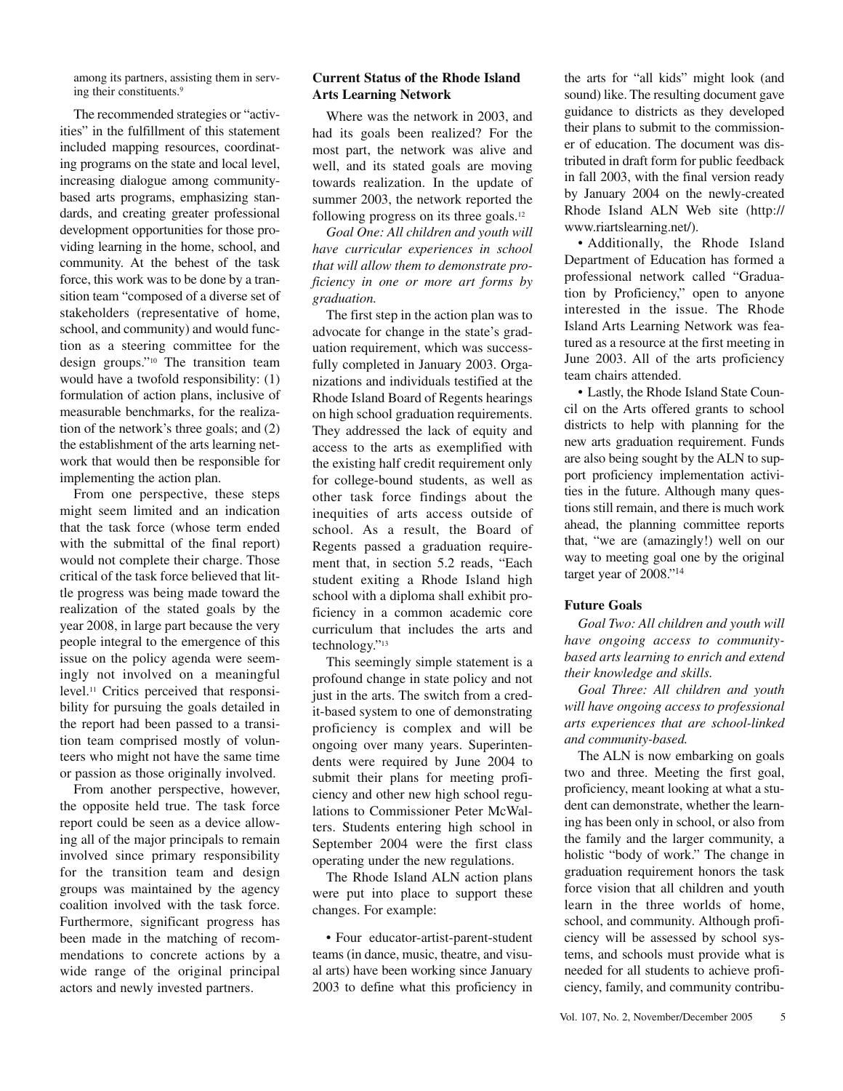among its partners, assisting them in serving their constituents.9

The recommended strategies or "activities" in the fulfillment of this statement included mapping resources, coordinating programs on the state and local level, increasing dialogue among communitybased arts programs, emphasizing standards, and creating greater professional development opportunities for those providing learning in the home, school, and community. At the behest of the task force, this work was to be done by a transition team "composed of a diverse set of stakeholders (representative of home, school, and community) and would function as a steering committee for the design groups."10 The transition team would have a twofold responsibility: (1) formulation of action plans, inclusive of measurable benchmarks, for the realization of the network's three goals; and (2) the establishment of the arts learning network that would then be responsible for implementing the action plan.

From one perspective, these steps might seem limited and an indication that the task force (whose term ended with the submittal of the final report) would not complete their charge. Those critical of the task force believed that little progress was being made toward the realization of the stated goals by the year 2008, in large part because the very people integral to the emergence of this issue on the policy agenda were seemingly not involved on a meaningful level.11 Critics perceived that responsibility for pursuing the goals detailed in the report had been passed to a transition team comprised mostly of volunteers who might not have the same time or passion as those originally involved.

From another perspective, however, the opposite held true. The task force report could be seen as a device allowing all of the major principals to remain involved since primary responsibility for the transition team and design groups was maintained by the agency coalition involved with the task force. Furthermore, significant progress has been made in the matching of recommendations to concrete actions by a wide range of the original principal actors and newly invested partners.

## **Current Status of the Rhode Island Arts Learning Network**

Where was the network in 2003, and had its goals been realized? For the most part, the network was alive and well, and its stated goals are moving towards realization. In the update of summer 2003, the network reported the following progress on its three goals.12

*Goal One: All children and youth will have curricular experiences in school that will allow them to demonstrate proficiency in one or more art forms by graduation.* 

The first step in the action plan was to advocate for change in the state's graduation requirement, which was successfully completed in January 2003. Organizations and individuals testified at the Rhode Island Board of Regents hearings on high school graduation requirements. They addressed the lack of equity and access to the arts as exemplified with the existing half credit requirement only for college-bound students, as well as other task force findings about the inequities of arts access outside of school. As a result, the Board of Regents passed a graduation requirement that, in section 5.2 reads, "Each student exiting a Rhode Island high school with a diploma shall exhibit proficiency in a common academic core curriculum that includes the arts and technology."13

This seemingly simple statement is a profound change in state policy and not just in the arts. The switch from a credit-based system to one of demonstrating proficiency is complex and will be ongoing over many years. Superintendents were required by June 2004 to submit their plans for meeting proficiency and other new high school regulations to Commissioner Peter McWalters. Students entering high school in September 2004 were the first class operating under the new regulations.

The Rhode Island ALN action plans were put into place to support these changes. For example:

• Four educator-artist-parent-student teams (in dance, music, theatre, and visual arts) have been working since January 2003 to define what this proficiency in the arts for "all kids" might look (and sound) like. The resulting document gave guidance to districts as they developed their plans to submit to the commissioner of education. The document was distributed in draft form for public feedback in fall 2003, with the final version ready by January 2004 on the newly-created Rhode Island ALN Web site (http:// www.riartslearning.net/).

• Additionally, the Rhode Island Department of Education has formed a professional network called "Graduation by Proficiency," open to anyone interested in the issue. The Rhode Island Arts Learning Network was featured as a resource at the first meeting in June 2003. All of the arts proficiency team chairs attended.

• Lastly, the Rhode Island State Council on the Arts offered grants to school districts to help with planning for the new arts graduation requirement. Funds are also being sought by the ALN to support proficiency implementation activities in the future. Although many questions still remain, and there is much work ahead, the planning committee reports that, "we are (amazingly!) well on our way to meeting goal one by the original target year of 2008."14

### **Future Goals**

*Goal Two: All children and youth will have ongoing access to communitybased arts learning to enrich and extend their knowledge and skills.* 

*Goal Three: All children and youth will have ongoing access to professional arts experiences that are school-linked and community-based.*

The ALN is now embarking on goals two and three. Meeting the first goal, proficiency, meant looking at what a student can demonstrate, whether the learning has been only in school, or also from the family and the larger community, a holistic "body of work." The change in graduation requirement honors the task force vision that all children and youth learn in the three worlds of home, school, and community. Although proficiency will be assessed by school systems, and schools must provide what is needed for all students to achieve proficiency, family, and community contribu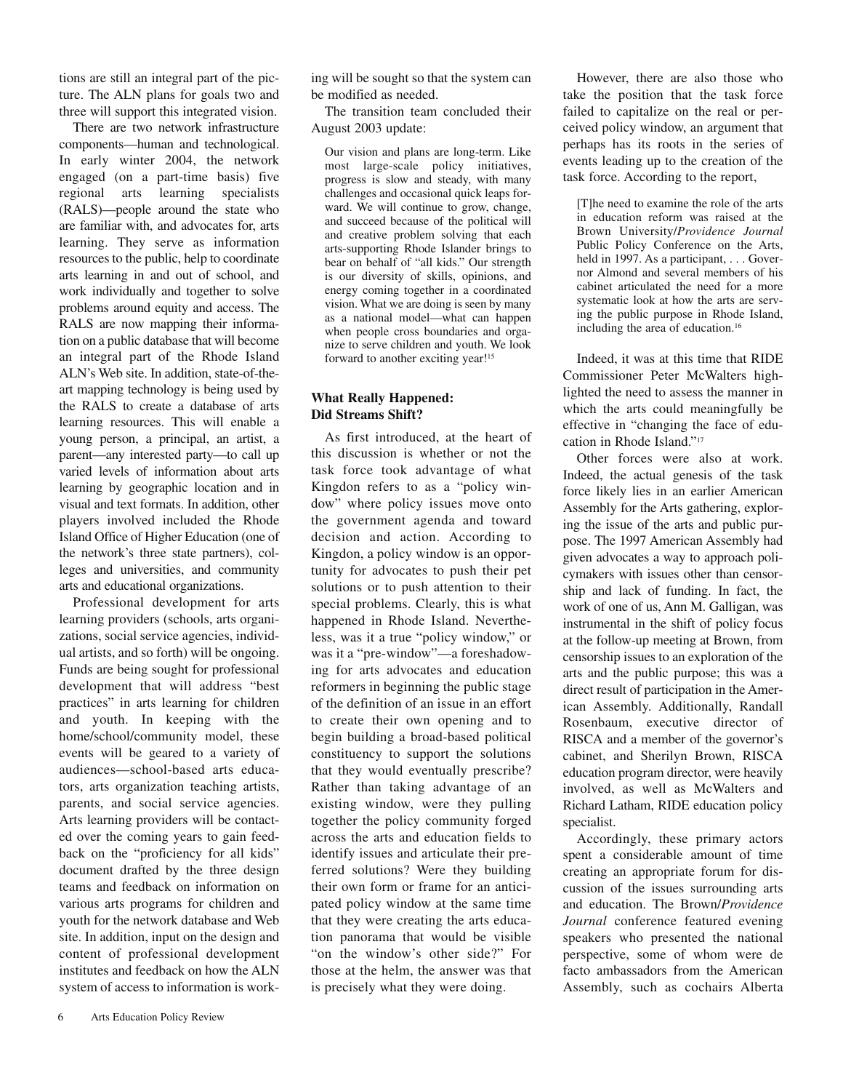tions are still an integral part of the picture. The ALN plans for goals two and three will support this integrated vision.

There are two network infrastructure components—human and technological. In early winter 2004, the network engaged (on a part-time basis) five regional arts learning specialists (RALS)—people around the state who are familiar with, and advocates for, arts learning. They serve as information resources to the public, help to coordinate arts learning in and out of school, and work individually and together to solve problems around equity and access. The RALS are now mapping their information on a public database that will become an integral part of the Rhode Island ALN's Web site. In addition, state-of-theart mapping technology is being used by the RALS to create a database of arts learning resources. This will enable a young person, a principal, an artist, a parent—any interested party—to call up varied levels of information about arts learning by geographic location and in visual and text formats. In addition, other players involved included the Rhode Island Office of Higher Education (one of the network's three state partners), colleges and universities, and community arts and educational organizations.

Professional development for arts learning providers (schools, arts organizations, social service agencies, individual artists, and so forth) will be ongoing. Funds are being sought for professional development that will address "best practices" in arts learning for children and youth. In keeping with the home/school/community model, these events will be geared to a variety of audiences—school-based arts educators, arts organization teaching artists, parents, and social service agencies. Arts learning providers will be contacted over the coming years to gain feedback on the "proficiency for all kids" document drafted by the three design teams and feedback on information on various arts programs for children and youth for the network database and Web site. In addition, input on the design and content of professional development institutes and feedback on how the ALN system of access to information is work-

ing will be sought so that the system can be modified as needed.

The transition team concluded their August 2003 update:

Our vision and plans are long-term. Like most large-scale policy initiatives, progress is slow and steady, with many challenges and occasional quick leaps forward. We will continue to grow, change, and succeed because of the political will and creative problem solving that each arts-supporting Rhode Islander brings to bear on behalf of "all kids." Our strength is our diversity of skills, opinions, and energy coming together in a coordinated vision. What we are doing is seen by many as a national model—what can happen when people cross boundaries and organize to serve children and youth. We look forward to another exciting year!<sup>15</sup>

## **What Really Happened: Did Streams Shift?**

As first introduced, at the heart of this discussion is whether or not the task force took advantage of what Kingdon refers to as a "policy window" where policy issues move onto the government agenda and toward decision and action. According to Kingdon, a policy window is an opportunity for advocates to push their pet solutions or to push attention to their special problems. Clearly, this is what happened in Rhode Island. Nevertheless, was it a true "policy window," or was it a "pre-window"—a foreshadowing for arts advocates and education reformers in beginning the public stage of the definition of an issue in an effort to create their own opening and to begin building a broad-based political constituency to support the solutions that they would eventually prescribe? Rather than taking advantage of an existing window, were they pulling together the policy community forged across the arts and education fields to identify issues and articulate their preferred solutions? Were they building their own form or frame for an anticipated policy window at the same time that they were creating the arts education panorama that would be visible "on the window's other side?" For those at the helm, the answer was that is precisely what they were doing.

However, there are also those who take the position that the task force failed to capitalize on the real or perceived policy window, an argument that perhaps has its roots in the series of events leading up to the creation of the task force. According to the report,

[T]he need to examine the role of the arts in education reform was raised at the Brown University/*Providence Journal* Public Policy Conference on the Arts, held in 1997. As a participant, . . . Governor Almond and several members of his cabinet articulated the need for a more systematic look at how the arts are serving the public purpose in Rhode Island, including the area of education.<sup>16</sup>

Indeed, it was at this time that RIDE Commissioner Peter McWalters highlighted the need to assess the manner in which the arts could meaningfully be effective in "changing the face of education in Rhode Island."17

Other forces were also at work. Indeed, the actual genesis of the task force likely lies in an earlier American Assembly for the Arts gathering, exploring the issue of the arts and public purpose. The 1997 American Assembly had given advocates a way to approach policymakers with issues other than censorship and lack of funding. In fact, the work of one of us, Ann M. Galligan, was instrumental in the shift of policy focus at the follow-up meeting at Brown, from censorship issues to an exploration of the arts and the public purpose; this was a direct result of participation in the American Assembly. Additionally, Randall Rosenbaum, executive director of RISCA and a member of the governor's cabinet, and Sherilyn Brown, RISCA education program director, were heavily involved, as well as McWalters and Richard Latham, RIDE education policy specialist.

Accordingly, these primary actors spent a considerable amount of time creating an appropriate forum for discussion of the issues surrounding arts and education. The Brown/*Providence Journal* conference featured evening speakers who presented the national perspective, some of whom were de facto ambassadors from the American Assembly, such as cochairs Alberta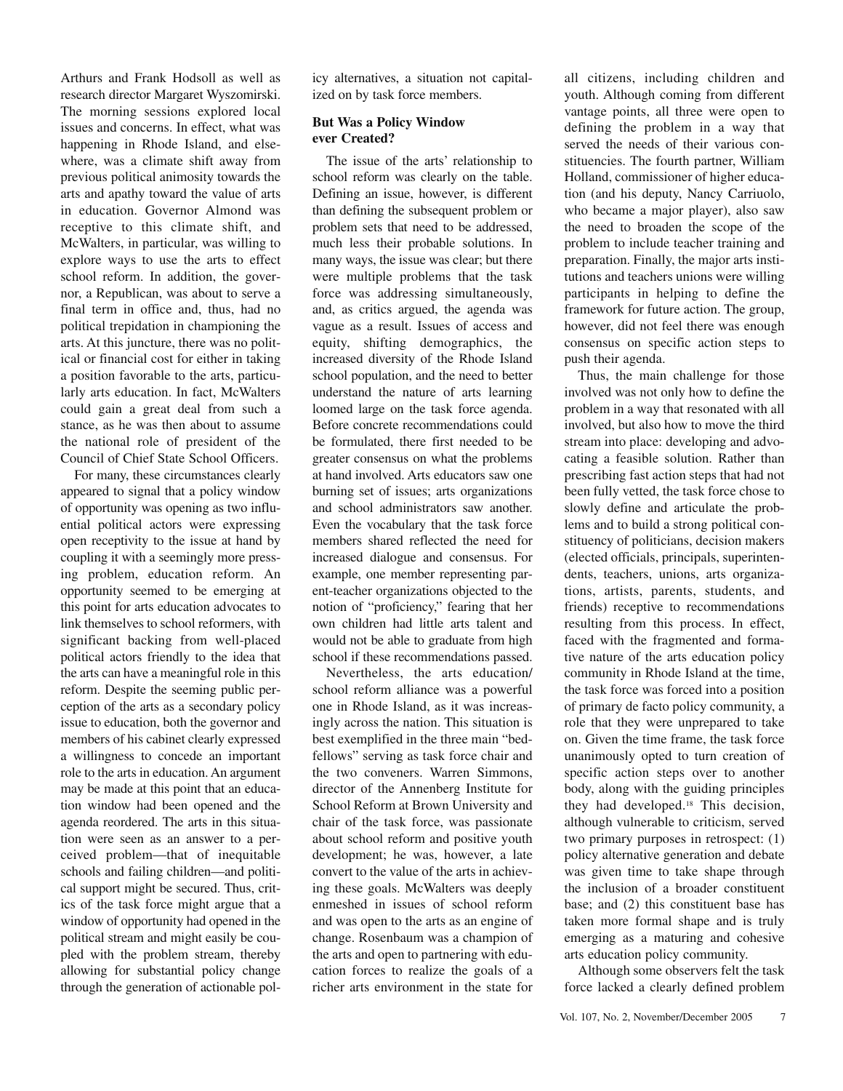Arthurs and Frank Hodsoll as well as research director Margaret Wyszomirski. The morning sessions explored local issues and concerns. In effect, what was happening in Rhode Island, and elsewhere, was a climate shift away from previous political animosity towards the arts and apathy toward the value of arts in education. Governor Almond was receptive to this climate shift, and McWalters, in particular, was willing to explore ways to use the arts to effect school reform. In addition, the governor, a Republican, was about to serve a final term in office and, thus, had no political trepidation in championing the arts. At this juncture, there was no political or financial cost for either in taking a position favorable to the arts, particularly arts education. In fact, McWalters could gain a great deal from such a stance, as he was then about to assume the national role of president of the Council of Chief State School Officers.

For many, these circumstances clearly appeared to signal that a policy window of opportunity was opening as two influential political actors were expressing open receptivity to the issue at hand by coupling it with a seemingly more pressing problem, education reform. An opportunity seemed to be emerging at this point for arts education advocates to link themselves to school reformers, with significant backing from well-placed political actors friendly to the idea that the arts can have a meaningful role in this reform. Despite the seeming public perception of the arts as a secondary policy issue to education, both the governor and members of his cabinet clearly expressed a willingness to concede an important role to the arts in education. An argument may be made at this point that an education window had been opened and the agenda reordered. The arts in this situation were seen as an answer to a perceived problem—that of inequitable schools and failing children—and political support might be secured. Thus, critics of the task force might argue that a window of opportunity had opened in the political stream and might easily be coupled with the problem stream, thereby allowing for substantial policy change through the generation of actionable policy alternatives, a situation not capitalized on by task force members.

### **But Was a Policy Window ever Created?**

The issue of the arts' relationship to school reform was clearly on the table. Defining an issue, however, is different than defining the subsequent problem or problem sets that need to be addressed, much less their probable solutions. In many ways, the issue was clear; but there were multiple problems that the task force was addressing simultaneously, and, as critics argued, the agenda was vague as a result. Issues of access and equity, shifting demographics, the increased diversity of the Rhode Island school population, and the need to better understand the nature of arts learning loomed large on the task force agenda. Before concrete recommendations could be formulated, there first needed to be greater consensus on what the problems at hand involved. Arts educators saw one burning set of issues; arts organizations and school administrators saw another. Even the vocabulary that the task force members shared reflected the need for increased dialogue and consensus. For example, one member representing parent-teacher organizations objected to the notion of "proficiency," fearing that her own children had little arts talent and would not be able to graduate from high school if these recommendations passed.

Nevertheless, the arts education/ school reform alliance was a powerful one in Rhode Island, as it was increasingly across the nation. This situation is best exemplified in the three main "bedfellows" serving as task force chair and the two conveners. Warren Simmons, director of the Annenberg Institute for School Reform at Brown University and chair of the task force, was passionate about school reform and positive youth development; he was, however, a late convert to the value of the arts in achieving these goals. McWalters was deeply enmeshed in issues of school reform and was open to the arts as an engine of change. Rosenbaum was a champion of the arts and open to partnering with education forces to realize the goals of a richer arts environment in the state for

all citizens, including children and youth. Although coming from different vantage points, all three were open to defining the problem in a way that served the needs of their various constituencies. The fourth partner, William Holland, commissioner of higher education (and his deputy, Nancy Carriuolo, who became a major player), also saw the need to broaden the scope of the problem to include teacher training and preparation. Finally, the major arts institutions and teachers unions were willing participants in helping to define the framework for future action. The group, however, did not feel there was enough consensus on specific action steps to push their agenda.

Thus, the main challenge for those involved was not only how to define the problem in a way that resonated with all involved, but also how to move the third stream into place: developing and advocating a feasible solution. Rather than prescribing fast action steps that had not been fully vetted, the task force chose to slowly define and articulate the problems and to build a strong political constituency of politicians, decision makers (elected officials, principals, superintendents, teachers, unions, arts organizations, artists, parents, students, and friends) receptive to recommendations resulting from this process. In effect, faced with the fragmented and formative nature of the arts education policy community in Rhode Island at the time, the task force was forced into a position of primary de facto policy community, a role that they were unprepared to take on. Given the time frame, the task force unanimously opted to turn creation of specific action steps over to another body, along with the guiding principles they had developed.18 This decision, although vulnerable to criticism, served two primary purposes in retrospect: (1) policy alternative generation and debate was given time to take shape through the inclusion of a broader constituent base; and (2) this constituent base has taken more formal shape and is truly emerging as a maturing and cohesive arts education policy community.

Although some observers felt the task force lacked a clearly defined problem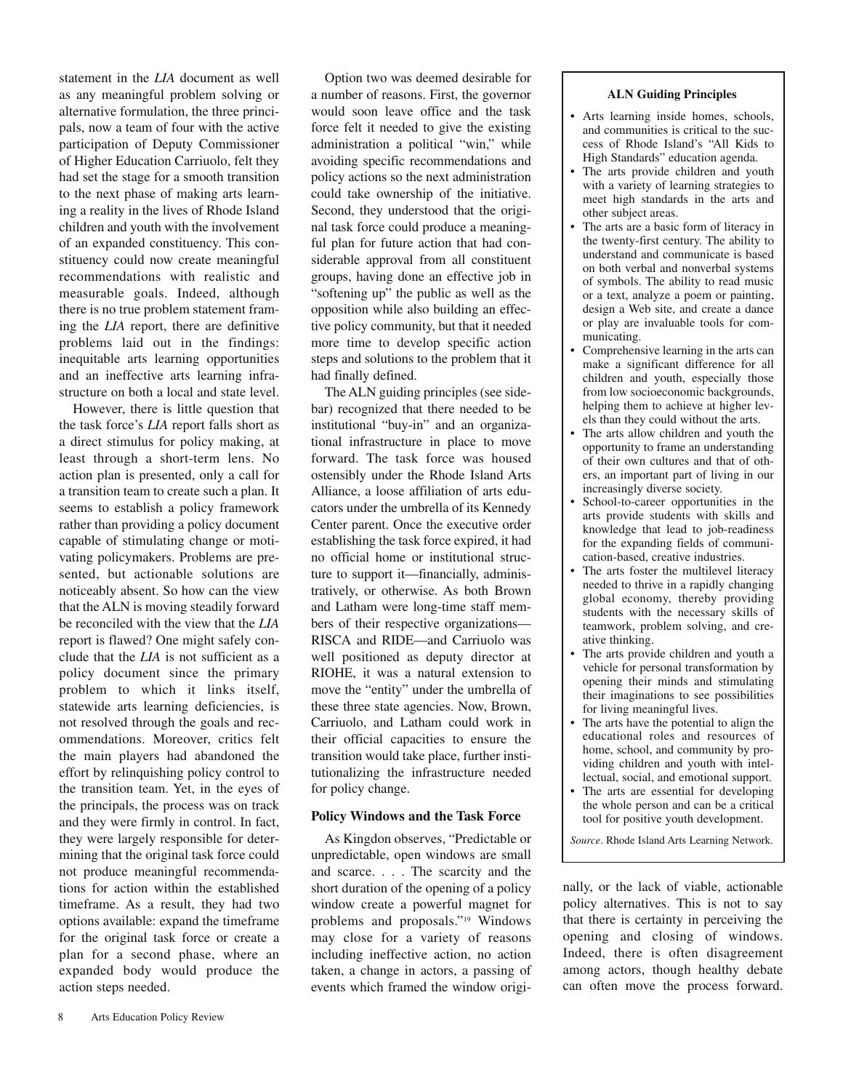statement in the *LIA* document as well as any meaningful problem solving or alternative formulation, the three principals, now a team of four with the active participation of Deputy Commissioner of Higher Education Carriuolo, felt they had set the stage for a smooth transition to the next phase of making arts learning a reality in the lives of Rhode Island children and youth with the involvement of an expanded constituency. This constituency could now create meaningful recommendations with realistic and measurable goals. Indeed, although there is no true problem statement framing the *LIA* report, there are definitive problems laid out in the findings: inequitable arts learning opportunities and an ineffective arts learning infrastructure on both a local and state level.

However, there is little question that the task force's *LIA* report falls short as a direct stimulus for policy making, at least through a short-term lens. No action plan is presented, only a call for a transition team to create such a plan. It seems to establish a policy framework rather than providing a policy document capable of stimulating change or motivating policymakers. Problems are presented, but actionable solutions are noticeably absent. So how can the view that the ALN is moving steadily forward be reconciled with the view that the *LIA* report is flawed? One might safely conclude that the *LIA* is not sufficient as a policy document since the primary problem to which it links itself, statewide arts learning deficiencies, is not resolved through the goals and recommendations. Moreover, critics felt the main players had abandoned the effort by relinquishing policy control to the transition team. Yet, in the eyes of the principals, the process was on track and they were firmly in control. In fact, they were largely responsible for determining that the original task force could not produce meaningful recommendations for action within the established timeframe. As a result, they had two options available: expand the timeframe for the original task force or create a plan for a second phase, where an expanded body would produce the action steps needed.

Option two was deemed desirable for a number of reasons. First, the governor would soon leave office and the task force felt it needed to give the existing administration a political "win," while avoiding specific recommendations and policy actions so the next administration could take ownership of the initiative. Second, they understood that the original task force could produce a meaningful plan for future action that had considerable approval from all constituent groups, having done an effective job in "softening up" the public as well as the opposition while also building an effective policy community, but that it needed more time to develop specific action steps and solutions to the problem that it had finally defined.

The ALN guiding principles (see sidebar) recognized that there needed to be institutional "buy-in" and an organizational infrastructure in place to move forward. The task force was housed ostensibly under the Rhode Island Arts Alliance, a loose affiliation of arts educators under the umbrella of its Kennedy Center parent. Once the executive order establishing the task force expired, it had no official home or institutional structure to support it—financially, administratively, or otherwise. As both Brown and Latham were long-time staff members of their respective organizations— RISCA and RIDE—and Carriuolo was well positioned as deputy director at RIOHE, it was a natural extension to move the "entity" under the umbrella of these three state agencies. Now, Brown, Carriuolo, and Latham could work in their official capacities to ensure the transition would take place, further institutionalizing the infrastructure needed for policy change.

### **Policy Windows and the Task Force**

As Kingdon observes, "Predictable or unpredictable, open windows are small and scarce. . . . The scarcity and the short duration of the opening of a policy window create a powerful magnet for problems and proposals."19 Windows may close for a variety of reasons including ineffective action, no action taken, a change in actors, a passing of events which framed the window origi-

### **ALN Guiding Principles**

- Arts learning inside homes, schools, and communities is critical to the success of Rhode Island's "All Kids to High Standards" education agenda.
- The arts provide children and youth with a variety of learning strategies to meet high standards in the arts and other subject areas.
- The arts are a basic form of literacy in the twenty-first century. The ability to understand and communicate is based on both verbal and nonverbal systems of symbols. The ability to read music or a text, analyze a poem or painting, design a Web site, and create a dance or play are invaluable tools for communicating.
- Comprehensive learning in the arts can make a significant difference for all children and youth, especially those from low socioeconomic backgrounds, helping them to achieve at higher levels than they could without the arts.
- The arts allow children and youth the opportunity to frame an understanding of their own cultures and that of others, an important part of living in our increasingly diverse society.
- School-to-career opportunities in the arts provide students with skills and knowledge that lead to job-readiness for the expanding fields of communication-based, creative industries.
- The arts foster the multilevel literacy needed to thrive in a rapidly changing global economy, thereby providing students with the necessary skills of teamwork, problem solving, and creative thinking.
- The arts provide children and youth a vehicle for personal transformation by opening their minds and stimulating their imaginations to see possibilities for living meaningful lives.
- The arts have the potential to align the educational roles and resources of home, school, and community by providing children and youth with intellectual, social, and emotional support.
- The arts are essential for developing the whole person and can be a critical tool for positive youth development.

*Source*. Rhode Island Arts Learning Network.

nally, or the lack of viable, actionable policy alternatives. This is not to say that there is certainty in perceiving the opening and closing of windows. Indeed, there is often disagreement among actors, though healthy debate can often move the process forward.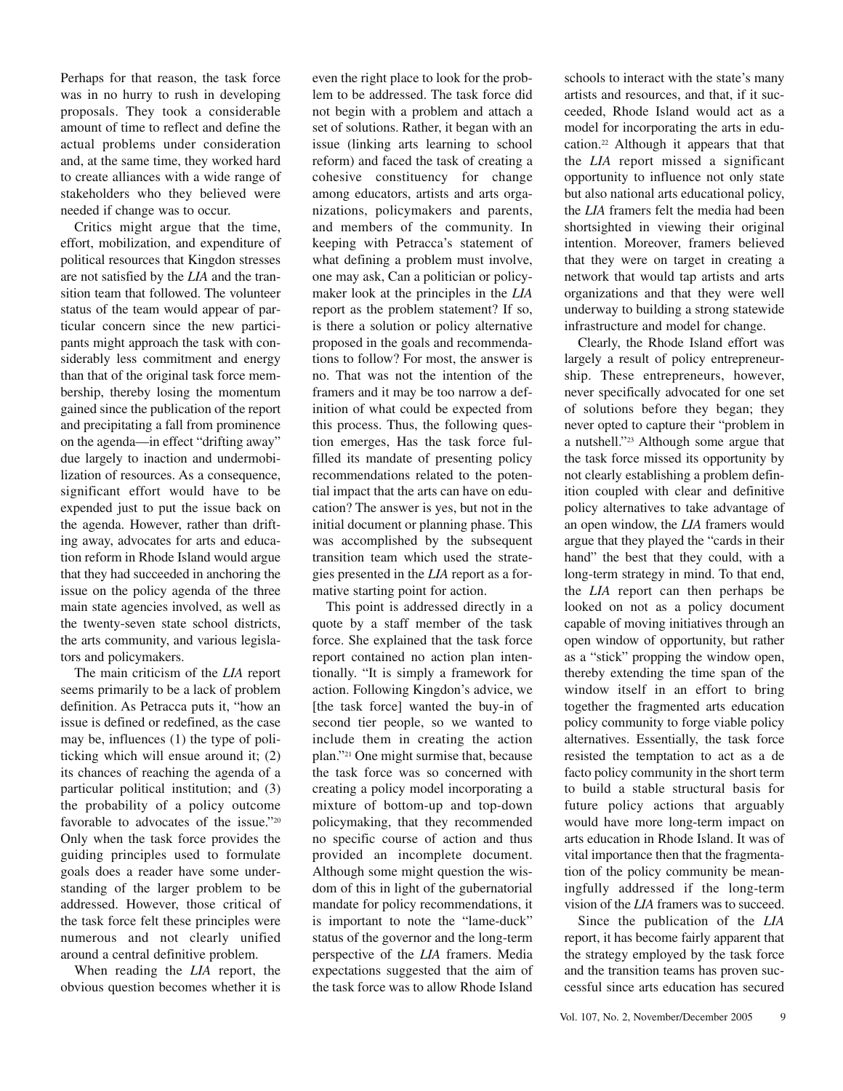Perhaps for that reason, the task force was in no hurry to rush in developing proposals. They took a considerable amount of time to reflect and define the actual problems under consideration and, at the same time, they worked hard to create alliances with a wide range of stakeholders who they believed were needed if change was to occur.

Critics might argue that the time, effort, mobilization, and expenditure of political resources that Kingdon stresses are not satisfied by the *LIA* and the transition team that followed. The volunteer status of the team would appear of particular concern since the new participants might approach the task with considerably less commitment and energy than that of the original task force membership, thereby losing the momentum gained since the publication of the report and precipitating a fall from prominence on the agenda—in effect "drifting away" due largely to inaction and undermobilization of resources. As a consequence, significant effort would have to be expended just to put the issue back on the agenda. However, rather than drifting away, advocates for arts and education reform in Rhode Island would argue that they had succeeded in anchoring the issue on the policy agenda of the three main state agencies involved, as well as the twenty-seven state school districts, the arts community, and various legislators and policymakers.

The main criticism of the *LIA* report seems primarily to be a lack of problem definition. As Petracca puts it, "how an issue is defined or redefined, as the case may be, influences (1) the type of politicking which will ensue around it; (2) its chances of reaching the agenda of a particular political institution; and (3) the probability of a policy outcome favorable to advocates of the issue."20 Only when the task force provides the guiding principles used to formulate goals does a reader have some understanding of the larger problem to be addressed. However, those critical of the task force felt these principles were numerous and not clearly unified around a central definitive problem.

When reading the *LIA* report, the obvious question becomes whether it is even the right place to look for the problem to be addressed. The task force did not begin with a problem and attach a set of solutions. Rather, it began with an issue (linking arts learning to school reform) and faced the task of creating a cohesive constituency for change among educators, artists and arts organizations, policymakers and parents, and members of the community. In keeping with Petracca's statement of what defining a problem must involve, one may ask, Can a politician or policymaker look at the principles in the *LIA* report as the problem statement? If so, is there a solution or policy alternative proposed in the goals and recommendations to follow? For most, the answer is no. That was not the intention of the framers and it may be too narrow a definition of what could be expected from this process. Thus, the following question emerges, Has the task force fulfilled its mandate of presenting policy recommendations related to the potential impact that the arts can have on education? The answer is yes, but not in the initial document or planning phase. This was accomplished by the subsequent transition team which used the strategies presented in the *LIA* report as a formative starting point for action.

This point is addressed directly in a quote by a staff member of the task force. She explained that the task force report contained no action plan intentionally. "It is simply a framework for action. Following Kingdon's advice, we [the task force] wanted the buy-in of second tier people, so we wanted to include them in creating the action plan."21 One might surmise that, because the task force was so concerned with creating a policy model incorporating a mixture of bottom-up and top-down policymaking, that they recommended no specific course of action and thus provided an incomplete document. Although some might question the wisdom of this in light of the gubernatorial mandate for policy recommendations, it is important to note the "lame-duck" status of the governor and the long-term perspective of the *LIA* framers. Media expectations suggested that the aim of the task force was to allow Rhode Island

schools to interact with the state's many artists and resources, and that, if it succeeded, Rhode Island would act as a model for incorporating the arts in education.22 Although it appears that that the *LIA* report missed a significant opportunity to influence not only state but also national arts educational policy, the *LIA* framers felt the media had been shortsighted in viewing their original intention. Moreover, framers believed that they were on target in creating a network that would tap artists and arts organizations and that they were well underway to building a strong statewide infrastructure and model for change.

Clearly, the Rhode Island effort was largely a result of policy entrepreneurship. These entrepreneurs, however, never specifically advocated for one set of solutions before they began; they never opted to capture their "problem in a nutshell."23 Although some argue that the task force missed its opportunity by not clearly establishing a problem definition coupled with clear and definitive policy alternatives to take advantage of an open window, the *LIA* framers would argue that they played the "cards in their hand" the best that they could, with a long-term strategy in mind. To that end, the *LIA* report can then perhaps be looked on not as a policy document capable of moving initiatives through an open window of opportunity, but rather as a "stick" propping the window open, thereby extending the time span of the window itself in an effort to bring together the fragmented arts education policy community to forge viable policy alternatives. Essentially, the task force resisted the temptation to act as a de facto policy community in the short term to build a stable structural basis for future policy actions that arguably would have more long-term impact on arts education in Rhode Island. It was of vital importance then that the fragmentation of the policy community be meaningfully addressed if the long-term vision of the *LIA* framers was to succeed.

Since the publication of the *LIA* report, it has become fairly apparent that the strategy employed by the task force and the transition teams has proven successful since arts education has secured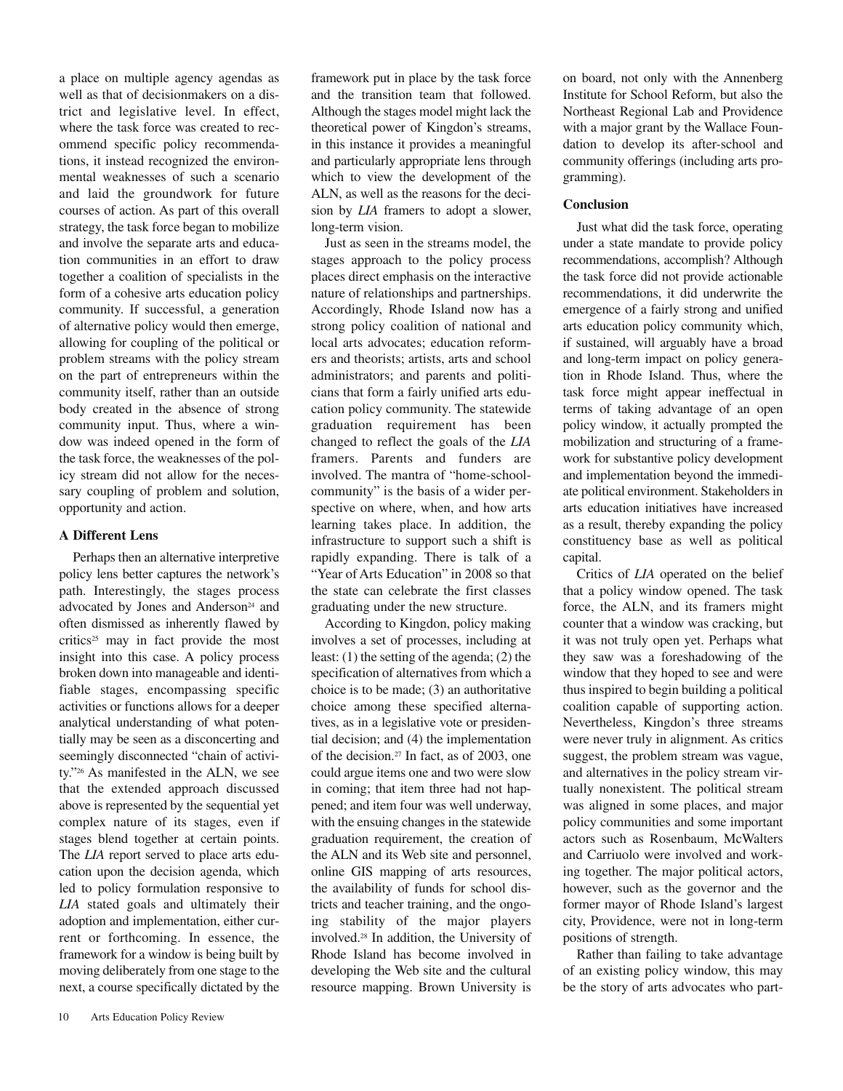a place on multiple agency agendas as well as that of decisionmakers on a district and legislative level. In effect, where the task force was created to recommend specific policy recommendations, it instead recognized the environmental weaknesses of such a scenario and laid the groundwork for future courses of action. As part of this overall strategy, the task force began to mobilize and involve the separate arts and education communities in an effort to draw together a coalition of specialists in the form of a cohesive arts education policy community. If successful, a generation of alternative policy would then emerge, allowing for coupling of the political or problem streams with the policy stream on the part of entrepreneurs within the community itself, rather than an outside body created in the absence of strong community input. Thus, where a window was indeed opened in the form of the task force, the weaknesses of the policy stream did not allow for the necessary coupling of problem and solution, opportunity and action.

### **A Different Lens**

Perhaps then an alternative interpretive policy lens better captures the network's path. Interestingly, the stages process advocated by Jones and Anderson<sup>24</sup> and often dismissed as inherently flawed by critics<sup>25</sup> may in fact provide the most insight into this case. A policy process broken down into manageable and identifiable stages, encompassing specific activities or functions allows for a deeper analytical understanding of what potentially may be seen as a disconcerting and seemingly disconnected "chain of activity."26 As manifested in the ALN, we see that the extended approach discussed above is represented by the sequential yet complex nature of its stages, even if stages blend together at certain points. The *LIA* report served to place arts education upon the decision agenda, which led to policy formulation responsive to *LIA* stated goals and ultimately their adoption and implementation, either current or forthcoming. In essence, the framework for a window is being built by moving deliberately from one stage to the next, a course specifically dictated by the

framework put in place by the task force and the transition team that followed. Although the stages model might lack the theoretical power of Kingdon's streams, in this instance it provides a meaningful and particularly appropriate lens through which to view the development of the ALN, as well as the reasons for the decision by *LIA* framers to adopt a slower, long-term vision.

Just as seen in the streams model, the stages approach to the policy process places direct emphasis on the interactive nature of relationships and partnerships. Accordingly, Rhode Island now has a strong policy coalition of national and local arts advocates; education reformers and theorists; artists, arts and school administrators; and parents and politicians that form a fairly unified arts education policy community. The statewide graduation requirement has been changed to reflect the goals of the *LIA* framers. Parents and funders are involved. The mantra of "home-schoolcommunity" is the basis of a wider perspective on where, when, and how arts learning takes place. In addition, the infrastructure to support such a shift is rapidly expanding. There is talk of a "Year of Arts Education" in 2008 so that the state can celebrate the first classes graduating under the new structure.

According to Kingdon, policy making involves a set of processes, including at least: (1) the setting of the agenda; (2) the specification of alternatives from which a choice is to be made; (3) an authoritative choice among these specified alternatives, as in a legislative vote or presidential decision; and (4) the implementation of the decision.27 In fact, as of 2003, one could argue items one and two were slow in coming; that item three had not happened; and item four was well underway, with the ensuing changes in the statewide graduation requirement, the creation of the ALN and its Web site and personnel, online GIS mapping of arts resources, the availability of funds for school districts and teacher training, and the ongoing stability of the major players involved.28 In addition, the University of Rhode Island has become involved in developing the Web site and the cultural resource mapping. Brown University is on board, not only with the Annenberg Institute for School Reform, but also the Northeast Regional Lab and Providence with a major grant by the Wallace Foundation to develop its after-school and community offerings (including arts programming).

## **Conclusion**

Just what did the task force, operating under a state mandate to provide policy recommendations, accomplish? Although the task force did not provide actionable recommendations, it did underwrite the emergence of a fairly strong and unified arts education policy community which, if sustained, will arguably have a broad and long-term impact on policy generation in Rhode Island. Thus, where the task force might appear ineffectual in terms of taking advantage of an open policy window, it actually prompted the mobilization and structuring of a framework for substantive policy development and implementation beyond the immediate political environment. Stakeholders in arts education initiatives have increased as a result, thereby expanding the policy constituency base as well as political capital.

Critics of *LIA* operated on the belief that a policy window opened. The task force, the ALN, and its framers might counter that a window was cracking, but it was not truly open yet. Perhaps what they saw was a foreshadowing of the window that they hoped to see and were thus inspired to begin building a political coalition capable of supporting action. Nevertheless, Kingdon's three streams were never truly in alignment. As critics suggest, the problem stream was vague, and alternatives in the policy stream virtually nonexistent. The political stream was aligned in some places, and major policy communities and some important actors such as Rosenbaum, McWalters and Carriuolo were involved and working together. The major political actors, however, such as the governor and the former mayor of Rhode Island's largest city, Providence, were not in long-term positions of strength.

Rather than failing to take advantage of an existing policy window, this may be the story of arts advocates who part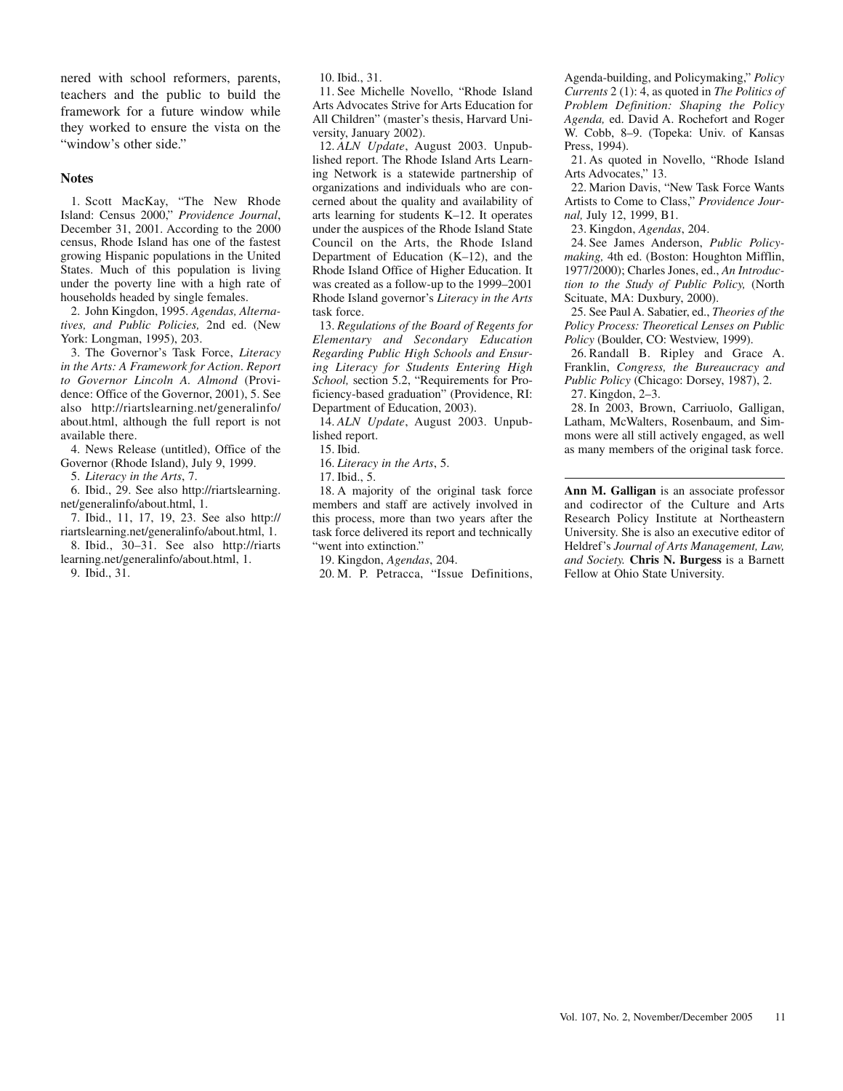nered with school reformers, parents, teachers and the public to build the framework for a future window while they worked to ensure the vista on the "window's other side."

#### **Notes**

1. Scott MacKay, "The New Rhode Island: Census 2000," *Providence Journal*, December 31, 2001. According to the 2000 census, Rhode Island has one of the fastest growing Hispanic populations in the United States. Much of this population is living under the poverty line with a high rate of households headed by single females.

2. John Kingdon, 1995. *Agendas, Alternatives, and Public Policies,* 2nd ed. (New York: Longman, 1995), 203.

3. The Governor's Task Force, *Literacy in the Arts: A Framework for Action*. *Report to Governor Lincoln A. Almond* (Providence: Office of the Governor, 2001), 5. See also http://riartslearning.net/generalinfo/ about.html, although the full report is not available there.

4. News Release (untitled), Office of the Governor (Rhode Island), July 9, 1999.

5. *Literacy in the Arts*, 7.

6. Ibid., 29. See also http://riartslearning. net/generalinfo/about.html, 1.

7. Ibid., 11, 17, 19, 23. See also http:// riartslearning.net/generalinfo/about.html, 1.

8. Ibid., 30–31. See also http://riarts learning.net/generalinfo/about.html, 1.

9. Ibid., 31.

10. Ibid., 31.

11. See Michelle Novello, "Rhode Island Arts Advocates Strive for Arts Education for All Children" (master's thesis, Harvard University, January 2002).

12. *ALN Update*, August 2003. Unpublished report. The Rhode Island Arts Learning Network is a statewide partnership of organizations and individuals who are concerned about the quality and availability of arts learning for students K–12. It operates under the auspices of the Rhode Island State Council on the Arts, the Rhode Island Department of Education (K–12), and the Rhode Island Office of Higher Education. It was created as a follow-up to the 1999–2001 Rhode Island governor's *Literacy in the Arts* task force.

13. *Regulations of the Board of Regents for Elementary and Secondary Education Regarding Public High Schools and Ensuring Literacy for Students Entering High School,* section 5.2, "Requirements for Proficiency-based graduation" (Providence, RI: Department of Education, 2003).

14. *ALN Update*, August 2003. Unpublished report.

15. Ibid.

16. *Literacy in the Arts*, 5.

17. Ibid., 5.

18. A majority of the original task force members and staff are actively involved in this process, more than two years after the task force delivered its report and technically "went into extinction."

19. Kingdon, *Agendas*, 204.

20. M. P. Petracca, "Issue Definitions,

Agenda-building, and Policymaking," *Policy Currents* 2 (1): 4, as quoted in *The Politics of Problem Definition: Shaping the Policy Agenda,* ed. David A. Rochefort and Roger W. Cobb, 8–9. (Topeka: Univ. of Kansas Press, 1994).

21. As quoted in Novello, "Rhode Island Arts Advocates," 13.

22. Marion Davis, "New Task Force Wants Artists to Come to Class," *Providence Journal,* July 12, 1999, B1.

23. Kingdon, *Agendas*, 204.

24. See James Anderson, *Public Policymaking,* 4th ed. (Boston: Houghton Mifflin, 1977/2000); Charles Jones, ed., *An Introduction to the Study of Public Policy,* (North Scituate, MA: Duxbury, 2000).

25. See Paul A. Sabatier, ed., *Theories of the Policy Process: Theoretical Lenses on Public Policy* (Boulder, CO: Westview, 1999).

26. Randall B. Ripley and Grace A. Franklin, *Congress, the Bureaucracy and Public Policy* (Chicago: Dorsey, 1987), 2. 27. Kingdon, 2–3.

28. In 2003, Brown, Carriuolo, Galligan, Latham, McWalters, Rosenbaum, and Simmons were all still actively engaged, as well

as many members of the original task force.

**Ann M. Galligan** is an associate professor and codirector of the Culture and Arts Research Policy Institute at Northeastern University. She is also an executive editor of Heldref's *Journal of Arts Management, Law, and Society.* **Chris N. Burgess** is a Barnett Fellow at Ohio State University.